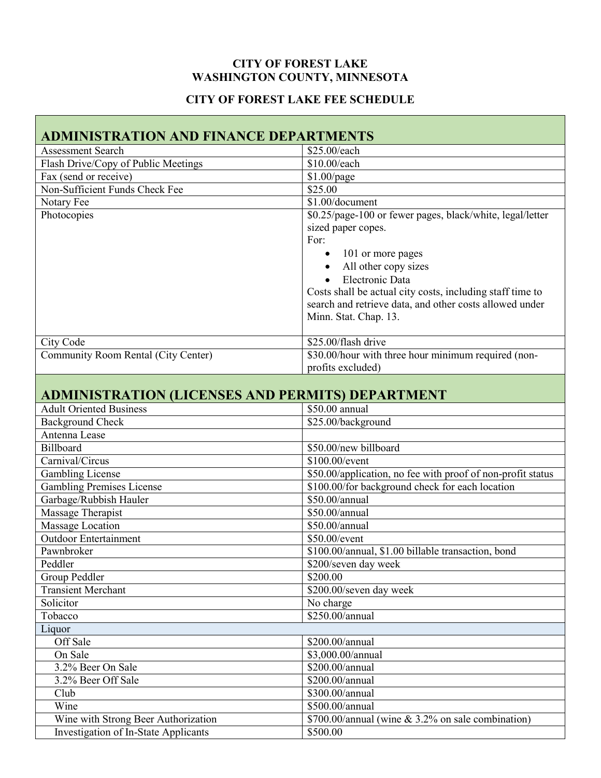#### **CITY OF FOREST LAKE WASHINGTON COUNTY, MINNESOTA**

# **CITY OF FOREST LAKE FEE SCHEDULE**

| <b>ADMINISTRATION AND FINANCE DEPARTMENTS</b>           |                                                             |  |  |  |  |  |
|---------------------------------------------------------|-------------------------------------------------------------|--|--|--|--|--|
| <b>Assessment Search</b>                                | \$25.00/each                                                |  |  |  |  |  |
| Flash Drive/Copy of Public Meetings                     | \$10.00/each                                                |  |  |  |  |  |
| Fax (send or receive)                                   | $$1.00$ /page                                               |  |  |  |  |  |
| Non-Sufficient Funds Check Fee                          | \$25.00                                                     |  |  |  |  |  |
| Notary Fee                                              | \$1.00/document                                             |  |  |  |  |  |
| Photocopies                                             | \$0.25/page-100 or fewer pages, black/white, legal/letter   |  |  |  |  |  |
|                                                         | sized paper copes.                                          |  |  |  |  |  |
|                                                         | For:                                                        |  |  |  |  |  |
|                                                         | 101 or more pages                                           |  |  |  |  |  |
|                                                         | All other copy sizes                                        |  |  |  |  |  |
|                                                         | Electronic Data                                             |  |  |  |  |  |
|                                                         | Costs shall be actual city costs, including staff time to   |  |  |  |  |  |
|                                                         | search and retrieve data, and other costs allowed under     |  |  |  |  |  |
|                                                         | Minn. Stat. Chap. 13.                                       |  |  |  |  |  |
|                                                         |                                                             |  |  |  |  |  |
| City Code                                               | \$25,00/flash drive                                         |  |  |  |  |  |
| Community Room Rental (City Center)                     | \$30.00/hour with three hour minimum required (non-         |  |  |  |  |  |
|                                                         | profits excluded)                                           |  |  |  |  |  |
|                                                         |                                                             |  |  |  |  |  |
| <b>ADMINISTRATION (LICENSES AND PERMITS) DEPARTMENT</b> |                                                             |  |  |  |  |  |
| <b>Adult Oriented Business</b>                          | \$50.00 annual                                              |  |  |  |  |  |
| <b>Background Check</b>                                 | \$25.00/background                                          |  |  |  |  |  |
| Antenna Lease                                           |                                                             |  |  |  |  |  |
| Billboard                                               | \$50.00/new billboard                                       |  |  |  |  |  |
| Carnival/Circus                                         | \$100.00/event                                              |  |  |  |  |  |
| <b>Gambling License</b>                                 | \$50.00/application, no fee with proof of non-profit status |  |  |  |  |  |
| <b>Gambling Premises License</b>                        | \$100.00/for background check for each location             |  |  |  |  |  |
| Garbage/Rubbish Hauler                                  | \$50.00/annual                                              |  |  |  |  |  |
| Massage Therapist                                       | \$50.00/annual                                              |  |  |  |  |  |
| <b>Massage Location</b>                                 | \$50.00/annual                                              |  |  |  |  |  |
| <b>Outdoor Entertainment</b>                            | \$50.00/event                                               |  |  |  |  |  |
| Pawnbroker                                              | \$100.00/annual, \$1.00 billable transaction, bond          |  |  |  |  |  |
| Peddler                                                 | \$200/seven day week                                        |  |  |  |  |  |
| Group Peddler                                           | \$200.00                                                    |  |  |  |  |  |
| <b>Transient Merchant</b>                               | \$200.00/seven day week                                     |  |  |  |  |  |
| Solicitor                                               | No charge                                                   |  |  |  |  |  |
| Tobacco                                                 | \$250.00/annual                                             |  |  |  |  |  |
| Liquor                                                  |                                                             |  |  |  |  |  |
| Off Sale                                                | \$200.00/annual                                             |  |  |  |  |  |
| On Sale                                                 | \$3,000.00/annual                                           |  |  |  |  |  |
| 3.2% Beer On Sale                                       | \$200.00/annual                                             |  |  |  |  |  |
| 3.2% Beer Off Sale                                      | \$200.00/annual                                             |  |  |  |  |  |
| Club                                                    | \$300.00/annual                                             |  |  |  |  |  |
| Wine                                                    | \$500.00/annual                                             |  |  |  |  |  |
| Wine with Strong Beer Authorization                     | \$700.00/annual (wine & 3.2% on sale combination)           |  |  |  |  |  |
| Investigation of In-State Applicants                    | \$500.00                                                    |  |  |  |  |  |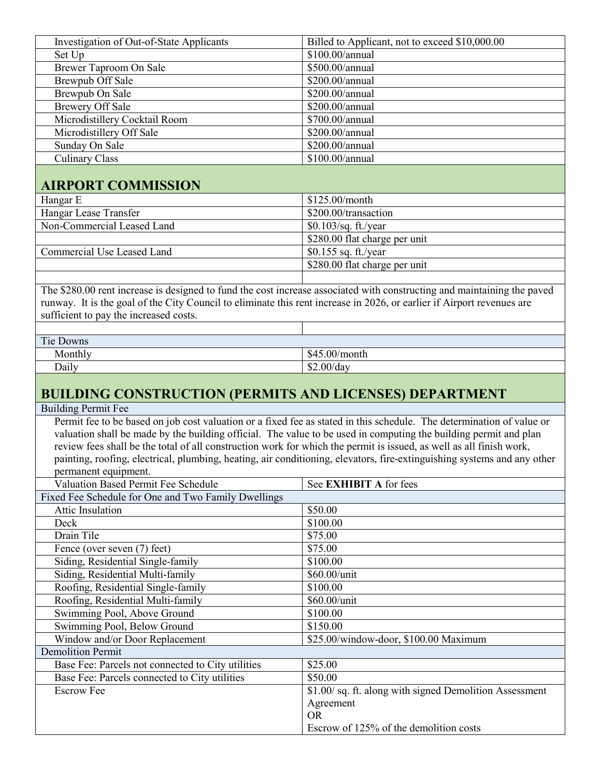| Investigation of Out-of-State Applicants<br>Billed to Applicant, not to exceed \$10,000.00                                                                       |                                                                                                                         |  |  |  |  |
|------------------------------------------------------------------------------------------------------------------------------------------------------------------|-------------------------------------------------------------------------------------------------------------------------|--|--|--|--|
| Set Up                                                                                                                                                           | \$100.00/annual                                                                                                         |  |  |  |  |
| Brewer Taproom On Sale                                                                                                                                           | \$500.00/annual                                                                                                         |  |  |  |  |
| <b>Brewpub Off Sale</b>                                                                                                                                          | \$200.00/annual                                                                                                         |  |  |  |  |
| <b>Brewpub On Sale</b>                                                                                                                                           | \$200.00/annual                                                                                                         |  |  |  |  |
| <b>Brewery Off Sale</b>                                                                                                                                          | \$200.00/annual                                                                                                         |  |  |  |  |
| Microdistillery Cocktail Room                                                                                                                                    | \$700.00/annual                                                                                                         |  |  |  |  |
| Microdistillery Off Sale                                                                                                                                         | \$200.00/annual                                                                                                         |  |  |  |  |
| Sunday On Sale                                                                                                                                                   | \$200.00/annual                                                                                                         |  |  |  |  |
| <b>Culinary Class</b>                                                                                                                                            | \$100.00/annual                                                                                                         |  |  |  |  |
|                                                                                                                                                                  |                                                                                                                         |  |  |  |  |
| <b>AIRPORT COMMISSION</b>                                                                                                                                        |                                                                                                                         |  |  |  |  |
| Hangar E                                                                                                                                                         | \$125.00/month                                                                                                          |  |  |  |  |
| Hangar Lease Transfer                                                                                                                                            | \$200.00/transaction                                                                                                    |  |  |  |  |
| Non-Commercial Leased Land                                                                                                                                       | \$0.103/sq. ft./year                                                                                                    |  |  |  |  |
|                                                                                                                                                                  | \$280.00 flat charge per unit                                                                                           |  |  |  |  |
| Commercial Use Leased Land                                                                                                                                       | \$0.155 sq. ft./year                                                                                                    |  |  |  |  |
|                                                                                                                                                                  |                                                                                                                         |  |  |  |  |
|                                                                                                                                                                  | \$280.00 flat charge per unit                                                                                           |  |  |  |  |
|                                                                                                                                                                  | The \$280.00 rent increase is designed to fund the cost increase associated with constructing and maintaining the paved |  |  |  |  |
|                                                                                                                                                                  |                                                                                                                         |  |  |  |  |
| runway. It is the goal of the City Council to eliminate this rent increase in 2026, or earlier if Airport revenues are<br>sufficient to pay the increased costs. |                                                                                                                         |  |  |  |  |
|                                                                                                                                                                  |                                                                                                                         |  |  |  |  |
| Tie Downs                                                                                                                                                        |                                                                                                                         |  |  |  |  |
|                                                                                                                                                                  |                                                                                                                         |  |  |  |  |
| Monthly                                                                                                                                                          | \$45.00/month                                                                                                           |  |  |  |  |
| Daily<br>\$2.00/day                                                                                                                                              |                                                                                                                         |  |  |  |  |
|                                                                                                                                                                  |                                                                                                                         |  |  |  |  |
|                                                                                                                                                                  |                                                                                                                         |  |  |  |  |
| <b>BUILDING CONSTRUCTION (PERMITS AND LICENSES) DEPARTMENT</b>                                                                                                   |                                                                                                                         |  |  |  |  |
| <b>Building Permit Fee</b>                                                                                                                                       |                                                                                                                         |  |  |  |  |
|                                                                                                                                                                  | Permit fee to be based on job cost valuation or a fixed fee as stated in this schedule. The determination of value or   |  |  |  |  |
|                                                                                                                                                                  | valuation shall be made by the building official. The value to be used in computing the building permit and plan        |  |  |  |  |
| review fees shall be the total of all construction work for which the permit is issued, as well as all finish work,                                              |                                                                                                                         |  |  |  |  |
|                                                                                                                                                                  | painting, roofing, electrical, plumbing, heating, air conditioning, elevators, fire-extinguishing systems and any other |  |  |  |  |
| permanent equipment.                                                                                                                                             |                                                                                                                         |  |  |  |  |
| Valuation Based Permit Fee Schedule                                                                                                                              | See EXHIBIT A for fees                                                                                                  |  |  |  |  |
| Fixed Fee Schedule for One and Two Family Dwellings                                                                                                              |                                                                                                                         |  |  |  |  |
| Attic Insulation                                                                                                                                                 | \$50.00                                                                                                                 |  |  |  |  |
| Deck                                                                                                                                                             | \$100.00                                                                                                                |  |  |  |  |
| Drain Tile                                                                                                                                                       | \$75.00                                                                                                                 |  |  |  |  |
| Fence (over seven (7) feet)                                                                                                                                      | \$75.00                                                                                                                 |  |  |  |  |
| Siding, Residential Single-family                                                                                                                                | \$100.00                                                                                                                |  |  |  |  |
| Siding, Residential Multi-family                                                                                                                                 | \$60.00/unit                                                                                                            |  |  |  |  |
| Roofing, Residential Single-family                                                                                                                               | \$100.00                                                                                                                |  |  |  |  |
| Roofing, Residential Multi-family                                                                                                                                | \$60.00/unit                                                                                                            |  |  |  |  |
| Swimming Pool, Above Ground                                                                                                                                      | \$100.00                                                                                                                |  |  |  |  |
| Swimming Pool, Below Ground                                                                                                                                      | \$150.00                                                                                                                |  |  |  |  |
| Window and/or Door Replacement                                                                                                                                   | \$25.00/window-door, \$100.00 Maximum                                                                                   |  |  |  |  |
| <b>Demolition Permit</b>                                                                                                                                         |                                                                                                                         |  |  |  |  |
| Base Fee: Parcels not connected to City utilities                                                                                                                | \$25.00                                                                                                                 |  |  |  |  |
| Base Fee: Parcels connected to City utilities                                                                                                                    | \$50.00                                                                                                                 |  |  |  |  |
| <b>Escrow Fee</b>                                                                                                                                                | \$1.00/sq. ft. along with signed Demolition Assessment                                                                  |  |  |  |  |
|                                                                                                                                                                  | Agreement                                                                                                               |  |  |  |  |
|                                                                                                                                                                  | <b>OR</b>                                                                                                               |  |  |  |  |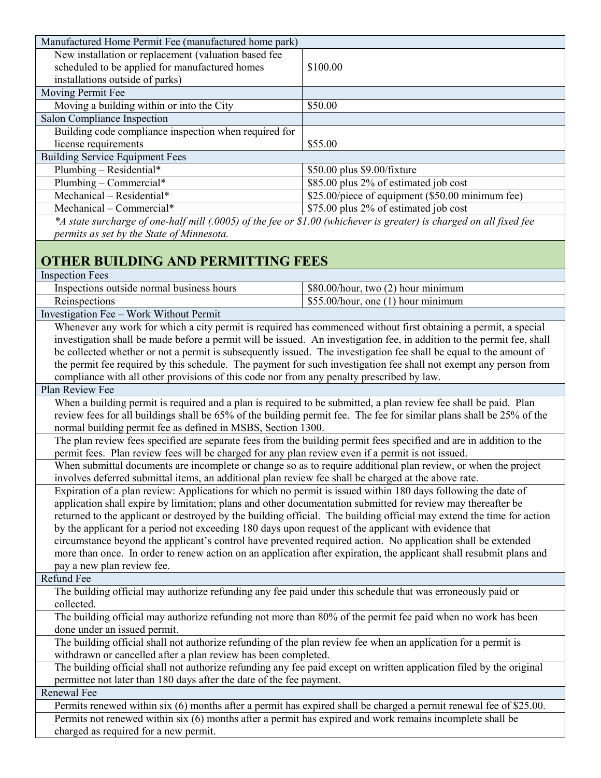| Manufactured Home Permit Fee (manufactured home park)                                                                                          |                                                                                                                        |  |  |  |  |
|------------------------------------------------------------------------------------------------------------------------------------------------|------------------------------------------------------------------------------------------------------------------------|--|--|--|--|
| New installation or replacement (valuation based fee                                                                                           |                                                                                                                        |  |  |  |  |
| scheduled to be applied for manufactured homes                                                                                                 | \$100.00                                                                                                               |  |  |  |  |
| installations outside of parks)                                                                                                                |                                                                                                                        |  |  |  |  |
| Moving Permit Fee                                                                                                                              |                                                                                                                        |  |  |  |  |
| Moving a building within or into the City                                                                                                      | \$50.00                                                                                                                |  |  |  |  |
| Salon Compliance Inspection                                                                                                                    |                                                                                                                        |  |  |  |  |
| Building code compliance inspection when required for                                                                                          |                                                                                                                        |  |  |  |  |
| license requirements                                                                                                                           | \$55.00                                                                                                                |  |  |  |  |
| <b>Building Service Equipment Fees</b>                                                                                                         |                                                                                                                        |  |  |  |  |
| Plumbing - Residential*                                                                                                                        | \$50.00 plus \$9.00/fixture                                                                                            |  |  |  |  |
| $\overline{\text{Pl}}$ umbing - Commercial*                                                                                                    | \$85.00 plus 2% of estimated job cost                                                                                  |  |  |  |  |
| Mechanical - Residential*                                                                                                                      | \$25.00/piece of equipment (\$50.00 minimum fee)                                                                       |  |  |  |  |
| Mechanical - Commercial*                                                                                                                       | \$75.00 plus 2% of estimated job cost                                                                                  |  |  |  |  |
| *A state surcharge of one-half mill (.0005) of the fee or \$1.00 (whichever is greater) is charged on all fixed fee                            |                                                                                                                        |  |  |  |  |
|                                                                                                                                                |                                                                                                                        |  |  |  |  |
| permits as set by the State of Minnesota.                                                                                                      |                                                                                                                        |  |  |  |  |
|                                                                                                                                                |                                                                                                                        |  |  |  |  |
| <b>OTHER BUILDING AND PERMITTING FEES</b>                                                                                                      |                                                                                                                        |  |  |  |  |
| <b>Inspection Fees</b>                                                                                                                         |                                                                                                                        |  |  |  |  |
| Inspections outside normal business hours                                                                                                      | \$80.00/hour, two (2) hour minimum                                                                                     |  |  |  |  |
| Reinspections                                                                                                                                  | \$55.00/hour, one (1) hour minimum                                                                                     |  |  |  |  |
| Investigation Fee - Work Without Permit                                                                                                        |                                                                                                                        |  |  |  |  |
| Whenever any work for which a city permit is required has commenced without first obtaining a permit, a special                                |                                                                                                                        |  |  |  |  |
|                                                                                                                                                | investigation shall be made before a permit will be issued. An investigation fee, in addition to the permit fee, shall |  |  |  |  |
| be collected whether or not a permit is subsequently issued. The investigation fee shall be equal to the amount of                             |                                                                                                                        |  |  |  |  |
|                                                                                                                                                | the permit fee required by this schedule. The payment for such investigation fee shall not exempt any person from      |  |  |  |  |
| compliance with all other provisions of this code nor from any penalty prescribed by law.                                                      |                                                                                                                        |  |  |  |  |
| Plan Review Fee                                                                                                                                |                                                                                                                        |  |  |  |  |
| When a building permit is required and a plan is required to be submitted, a plan review fee shall be paid. Plan                               |                                                                                                                        |  |  |  |  |
| review fees for all buildings shall be 65% of the building permit fee. The fee for similar plans shall be 25% of the                           |                                                                                                                        |  |  |  |  |
| normal building permit fee as defined in MSBS, Section 1300.                                                                                   |                                                                                                                        |  |  |  |  |
| The plan review fees specified are separate fees from the building permit fees specified and are in addition to the                            |                                                                                                                        |  |  |  |  |
| permit fees. Plan review fees will be charged for any plan review even if a permit is not issued.                                              |                                                                                                                        |  |  |  |  |
| When submittal documents are incomplete or change so as to require additional plan review, or when the project                                 |                                                                                                                        |  |  |  |  |
| involves deferred submittal items, an additional plan review fee shall be charged at the above rate.                                           |                                                                                                                        |  |  |  |  |
| Expiration of a plan review: Applications for which no permit is issued within 180 days following the date of                                  |                                                                                                                        |  |  |  |  |
| application shall expire by limitation; plans and other documentation submitted for review may thereafter be                                   |                                                                                                                        |  |  |  |  |
|                                                                                                                                                | returned to the applicant or destroyed by the building official. The building official may extend the time for action  |  |  |  |  |
| by the applicant for a period not exceeding 180 days upon request of the applicant with evidence that                                          |                                                                                                                        |  |  |  |  |
| circumstance beyond the applicant's control have prevented required action. No application shall be extended                                   |                                                                                                                        |  |  |  |  |
|                                                                                                                                                | more than once. In order to renew action on an application after expiration, the applicant shall resubmit plans and    |  |  |  |  |
| pay a new plan review fee.                                                                                                                     |                                                                                                                        |  |  |  |  |
| Refund Fee                                                                                                                                     |                                                                                                                        |  |  |  |  |
| The building official may authorize refunding any fee paid under this schedule that was erroneously paid or                                    |                                                                                                                        |  |  |  |  |
| collected.                                                                                                                                     |                                                                                                                        |  |  |  |  |
|                                                                                                                                                |                                                                                                                        |  |  |  |  |
| The building official may authorize refunding not more than 80% of the permit fee paid when no work has been                                   |                                                                                                                        |  |  |  |  |
| done under an issued permit.<br>The building official shall not authorize refunding of the plan review fee when an application for a permit is |                                                                                                                        |  |  |  |  |
| withdrawn or cancelled after a plan review has been completed.                                                                                 |                                                                                                                        |  |  |  |  |
| The building official shall not authorize refunding any fee paid except on written application filed by the original                           |                                                                                                                        |  |  |  |  |
| permittee not later than 180 days after the date of the fee payment.                                                                           |                                                                                                                        |  |  |  |  |
| Renewal Fee                                                                                                                                    |                                                                                                                        |  |  |  |  |
|                                                                                                                                                |                                                                                                                        |  |  |  |  |
| Permits renewed within six (6) months after a permit has expired shall be charged a permit renewal fee of \$25.00.                             |                                                                                                                        |  |  |  |  |
| Permits not renewed within six (6) months after a permit has expired and work remains incomplete shall be                                      |                                                                                                                        |  |  |  |  |
| charged as required for a new permit.                                                                                                          |                                                                                                                        |  |  |  |  |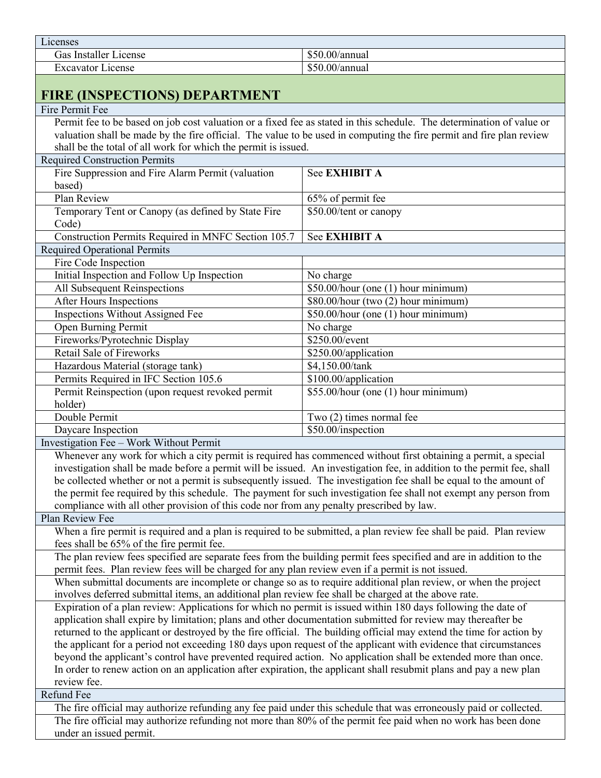Licenses Gas Installer License  $\Big|$  \$50.00/annual Excavator License  $\sim$  \$50.00/annual

#### **FIRE (INSPECTIONS) DEPARTMENT** Fire Permit Fee Permit fee to be based on job cost valuation or a fixed fee as stated in this schedule. The determination of value or valuation shall be made by the fire official. The value to be used in computing the fire permit and fire plan review shall be the total of all work for which the permit is issued. Required Construction Permits Fire Suppression and Fire Alarm Permit (valuation based) See **EXHIBIT A** Plan Review 65% of permit fee Temporary Tent or Canopy (as defined by State Fire Code) \$50.00/tent or canopy Construction Permits Required in MNFC Section 105.7 See **EXHIBIT A** Required Operational Permits Fire Code Inspection Initial Inspection and Follow Up Inspection No charge All Subsequent Reinspections  $\left| \int_{0}^{\infty} 550.00/\text{hour (one (1) hour minimum)} \right|$ After Hours Inspections<br>
Inspections Without Assigned Fee \$80.00/hour (two (2) hour minimum)<br>
\$80.00/hour (two (2) hour minimum)  $$50.00/h$ our (one (1) hour minimum) Open Burning Permit No charge Fireworks/Pyrotechnic Display \$250.00/event Retail Sale of Fireworks \$250.00/application Hazardous Material (storage tank) \$4,150.00/tank Permits Required in IFC Section 105.6 \ \ \ \ \ \$100.00\times \$100.00\times \$100.00\times \$100.00\times \$100.00\times \$100.00\times \$100.00\times \$100.00\times \$100.00\times \$100.00\times \$100.00\times \$100.00\times \$100.0 Permit Reinspection (upon request revoked permit holder) \$55.00/hour (one (1) hour minimum) Double Permit Two (2) times normal fee Daycare Inspection  $\left| \frac{1}{50.00}{\text{inspection}} \right|$ Investigation Fee – Work Without Permit Whenever any work for which a city permit is required has commenced without first obtaining a permit, a special investigation shall be made before a permit will be issued. An investigation fee, in addition to the permit fee, shall be collected whether or not a permit is subsequently issued. The investigation fee shall be equal to the amount of the permit fee required by this schedule. The payment for such investigation fee shall not exempt any person from compliance with all other provision of this code nor from any penalty prescribed by law. Plan Review Fee When a fire permit is required and a plan is required to be submitted, a plan review fee shall be paid. Plan review fees shall be 65% of the fire permit fee. The plan review fees specified are separate fees from the building permit fees specified and are in addition to the permit fees. Plan review fees will be charged for any plan review even if a permit is not issued. When submittal documents are incomplete or change so as to require additional plan review, or when the project involves deferred submittal items, an additional plan review fee shall be charged at the above rate. Expiration of a plan review: Applications for which no permit is issued within 180 days following the date of application shall expire by limitation; plans and other documentation submitted for review may thereafter be returned to the applicant or destroyed by the fire official. The building official may extend the time for action by the applicant for a period not exceeding 180 days upon request of the applicant with evidence that circumstances beyond the applicant's control have prevented required action. No application shall be extended more than once. In order to renew action on an application after expiration, the applicant shall resubmit plans and pay a new plan review fee.

Refund Fee

 The fire official may authorize refunding any fee paid under this schedule that was erroneously paid or collected. The fire official may authorize refunding not more than 80% of the permit fee paid when no work has been done under an issued permit.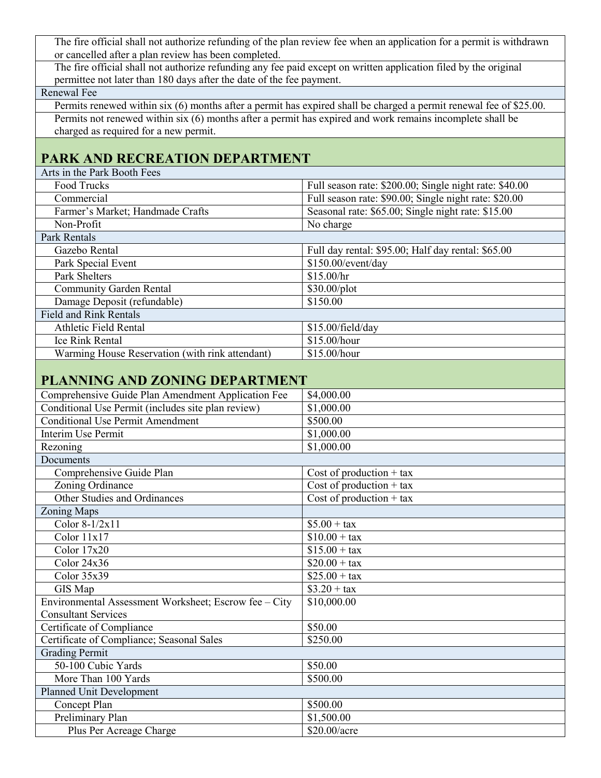The fire official shall not authorize refunding of the plan review fee when an application for a permit is withdrawn or cancelled after a plan review has been completed.

 The fire official shall not authorize refunding any fee paid except on written application filed by the original permittee not later than 180 days after the date of the fee payment.

#### Renewal Fee

 Permits renewed within six (6) months after a permit has expired shall be charged a permit renewal fee of \$25.00. Permits not renewed within six (6) months after a permit has expired and work remains incomplete shall be charged as required for a new permit.

# **PARK AND RECREATION DEPARTMENT**

Arts in the Park Booth Fees

| Full season rate: \$200.00; Single night rate: \$40.00 |  |  |  |  |
|--------------------------------------------------------|--|--|--|--|
| Full season rate: \$90.00; Single night rate: \$20.00  |  |  |  |  |
| Seasonal rate: \$65.00; Single night rate: \$15.00     |  |  |  |  |
| No charge                                              |  |  |  |  |
|                                                        |  |  |  |  |
| Full day rental: \$95.00; Half day rental: \$65.00     |  |  |  |  |
| \$150.00/event/day                                     |  |  |  |  |
| \$15.00/hr                                             |  |  |  |  |
| $$30.00\text{/plot}$                                   |  |  |  |  |
| \$150.00                                               |  |  |  |  |
|                                                        |  |  |  |  |
| \$15.00/field/day                                      |  |  |  |  |
| \$15.00/hour                                           |  |  |  |  |
| \$15.00/hour                                           |  |  |  |  |
|                                                        |  |  |  |  |

## **PLANNING AND ZONING DEPARTMENT**

| Comprehensive Guide Plan Amendment Application Fee    | \$4,000.00                                   |
|-------------------------------------------------------|----------------------------------------------|
| Conditional Use Permit (includes site plan review)    | \$1,000.00                                   |
| <b>Conditional Use Permit Amendment</b>               | \$500.00                                     |
| Interim Use Permit                                    | \$1,000.00                                   |
| Rezoning                                              | \$1,000.00                                   |
| Documents                                             |                                              |
| Comprehensive Guide Plan                              | Cost of production $+$ tax                   |
| Zoning Ordinance                                      | Cost of production $+$ tax                   |
| Other Studies and Ordinances                          | $\overline{\text{Cost}}$ of production + tax |
| <b>Zoning Maps</b>                                    |                                              |
| Color $8-1/2x11$                                      | $$5.00 + tax$                                |
| Color 11x17                                           | $$10.00 + tax$                               |
| Color $17x20$                                         | $$15.00 + tax$                               |
| Color $24x36$                                         | $$20.00 + tax$                               |
| Color $35x39$                                         | $$25.00 + tax$                               |
| GIS Map                                               | $$3.20 + tax$                                |
| Environmental Assessment Worksheet; Escrow fee – City | \$10,000.00                                  |
| <b>Consultant Services</b>                            |                                              |
| Certificate of Compliance                             | \$50.00                                      |
| Certificate of Compliance; Seasonal Sales             | \$250.00                                     |
| <b>Grading Permit</b>                                 |                                              |
| 50-100 Cubic Yards                                    | \$50.00                                      |
| More Than 100 Yards                                   | \$500.00                                     |
| Planned Unit Development                              |                                              |
| Concept Plan                                          | \$500.00                                     |
| Preliminary Plan                                      | \$1,500.00                                   |
| Plus Per Acreage Charge                               | \$20.00/acre                                 |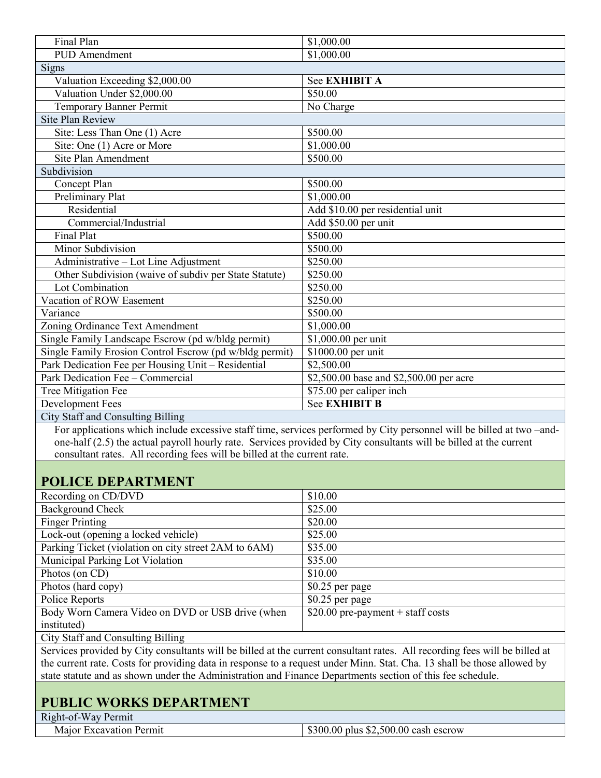| Final Plan                                              | \$1,000.00                              |
|---------------------------------------------------------|-----------------------------------------|
| <b>PUD</b> Amendment                                    | \$1,000.00                              |
| Signs                                                   |                                         |
| Valuation Exceeding \$2,000.00                          | See EXHIBIT A                           |
| Valuation Under \$2,000.00                              | \$50.00                                 |
| <b>Temporary Banner Permit</b>                          | No Charge                               |
| <b>Site Plan Review</b>                                 |                                         |
| Site: Less Than One (1) Acre                            | \$500.00                                |
| Site: One (1) Acre or More                              | \$1,000.00                              |
| Site Plan Amendment                                     | \$500.00                                |
| Subdivision                                             |                                         |
| Concept Plan                                            | \$500.00                                |
| Preliminary Plat                                        | \$1,000.00                              |
| Residential                                             | Add \$10.00 per residential unit        |
| Commercial/Industrial                                   | Add \$50.00 per unit                    |
| <b>Final Plat</b>                                       | \$500.00                                |
| Minor Subdivision                                       | \$500.00                                |
| Administrative - Lot Line Adjustment                    | \$250.00                                |
| Other Subdivision (waive of subdiv per State Statute)   | \$250.00                                |
| Lot Combination                                         | \$250.00                                |
| Vacation of ROW Easement                                | \$250.00                                |
| Variance                                                | \$500.00                                |
| Zoning Ordinance Text Amendment                         | \$1,000.00                              |
| Single Family Landscape Escrow (pd w/bldg permit)       | \$1,000.00 per unit                     |
| Single Family Erosion Control Escrow (pd w/bldg permit) | \$1000.00 per unit                      |
| Park Dedication Fee per Housing Unit - Residential      | \$2,500.00                              |
| Park Dedication Fee - Commercial                        | \$2,500.00 base and \$2,500.00 per acre |
| Tree Mitigation Fee                                     | \$75.00 per caliper inch                |
| Development Fees                                        | <b>See EXHIBIT B</b>                    |
| <b>City Staff and Consulting Billing</b>                |                                         |

 For applications which include excessive staff time, services performed by City personnel will be billed at two –and one-half (2.5) the actual payroll hourly rate. Services provided by City consultants will be billed at the current consultant rates. All recording fees will be billed at the current rate.

# **POLICE DEPARTMENT**

| Recording on CD/DVD                                  | \$10.00                            |
|------------------------------------------------------|------------------------------------|
| <b>Background Check</b>                              | \$25.00                            |
| <b>Finger Printing</b>                               | \$20.00                            |
| Lock-out (opening a locked vehicle)                  | \$25.00                            |
| Parking Ticket (violation on city street 2AM to 6AM) | \$35.00                            |
| Municipal Parking Lot Violation                      | \$35.00                            |
| Photos (on CD)                                       | \$10.00                            |
| Photos (hard copy)                                   | \$0.25 per page                    |
| Police Reports                                       | \$0.25 per page                    |
| Body Worn Camera Video on DVD or USB drive (when     | $$20.00$ pre-payment + staff costs |
| instituted)                                          |                                    |

City Staff and Consulting Billing

Services provided by City consultants will be billed at the current consultant rates. All recording fees will be billed at the current rate. Costs for providing data in response to a request under Minn. Stat. Cha. 13 shall be those allowed by state statute and as shown under the Administration and Finance Departments section of this fee schedule.

# **PUBLIC WORKS DEPARTMENT**

Right-of-Way Permit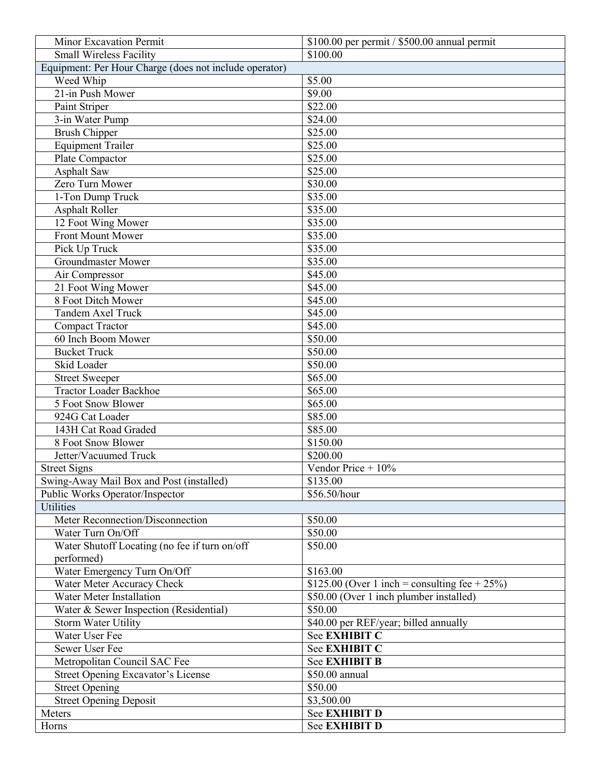| Minor Excavation Permit<br>$$100.00$ per permit / $$500.00$ annual permit |                                                   |  |  |  |  |
|---------------------------------------------------------------------------|---------------------------------------------------|--|--|--|--|
| <b>Small Wireless Facility</b>                                            | \$100.00                                          |  |  |  |  |
| Equipment: Per Hour Charge (does not include operator)                    |                                                   |  |  |  |  |
| Weed Whip                                                                 | \$5.00                                            |  |  |  |  |
| 21-in Push Mower                                                          | $\sqrt{$9.00}$                                    |  |  |  |  |
| Paint Striper                                                             | \$22.00                                           |  |  |  |  |
| 3-in Water Pump                                                           | \$24.00                                           |  |  |  |  |
| <b>Brush Chipper</b>                                                      | \$25.00                                           |  |  |  |  |
| <b>Equipment Trailer</b>                                                  | \$25.00                                           |  |  |  |  |
| Plate Compactor                                                           | \$25.00                                           |  |  |  |  |
| Asphalt Saw                                                               | \$25.00                                           |  |  |  |  |
| Zero Turn Mower                                                           | \$30.00                                           |  |  |  |  |
| 1-Ton Dump Truck                                                          | \$35.00                                           |  |  |  |  |
| <b>Asphalt Roller</b>                                                     | \$35.00                                           |  |  |  |  |
| 12 Foot Wing Mower                                                        | \$35.00                                           |  |  |  |  |
| Front Mount Mower                                                         | \$35.00                                           |  |  |  |  |
| Pick Up Truck                                                             | \$35.00                                           |  |  |  |  |
| <b>Groundmaster Mower</b>                                                 | \$35.00                                           |  |  |  |  |
| Air Compressor                                                            | \$45.00                                           |  |  |  |  |
| 21 Foot Wing Mower                                                        | \$45.00                                           |  |  |  |  |
| 8 Foot Ditch Mower                                                        | \$45.00                                           |  |  |  |  |
| <b>Tandem Axel Truck</b>                                                  | \$45.00                                           |  |  |  |  |
| <b>Compact Tractor</b>                                                    | \$45.00                                           |  |  |  |  |
| 60 Inch Boom Mower                                                        | \$50.00                                           |  |  |  |  |
| <b>Bucket Truck</b>                                                       | \$50.00                                           |  |  |  |  |
| Skid Loader                                                               | \$50.00                                           |  |  |  |  |
| <b>Street Sweeper</b>                                                     | \$65.00                                           |  |  |  |  |
| <b>Tractor Loader Backhoe</b>                                             | \$65.00                                           |  |  |  |  |
| 5 Foot Snow Blower                                                        | \$65.00                                           |  |  |  |  |
| 924G Cat Loader                                                           | \$85.00                                           |  |  |  |  |
| 143H Cat Road Graded                                                      | \$85.00                                           |  |  |  |  |
| 8 Foot Snow Blower                                                        | \$150.00                                          |  |  |  |  |
| Jetter/Vacuumed Truck                                                     | \$200.00                                          |  |  |  |  |
| <b>Street Signs</b>                                                       | Vendor Price $+10\%$                              |  |  |  |  |
| Swing-Away Mail Box and Post (installed)                                  | \$135.00                                          |  |  |  |  |
| Public Works Operator/Inspector                                           | \$56.50/hour                                      |  |  |  |  |
| <b>Utilities</b>                                                          |                                                   |  |  |  |  |
| Meter Reconnection/Disconnection                                          | \$50.00                                           |  |  |  |  |
| Water Turn On/Off                                                         | \$50.00                                           |  |  |  |  |
| Water Shutoff Locating (no fee if turn on/off                             | \$50.00                                           |  |  |  |  |
| performed)                                                                |                                                   |  |  |  |  |
| Water Emergency Turn On/Off                                               | \$163.00                                          |  |  |  |  |
| Water Meter Accuracy Check                                                | \$125.00 (Over 1 inch = consulting fee + $25\%$ ) |  |  |  |  |
| Water Meter Installation                                                  | \$50.00 (Over 1 inch plumber installed)           |  |  |  |  |
| Water & Sewer Inspection (Residential)                                    | \$50.00                                           |  |  |  |  |
| Storm Water Utility                                                       | \$40.00 per REF/year; billed annually             |  |  |  |  |
| Water User Fee                                                            | See EXHIBIT C                                     |  |  |  |  |
| Sewer User Fee                                                            | See EXHIBIT C                                     |  |  |  |  |
| Metropolitan Council SAC Fee                                              | <b>See EXHIBIT B</b>                              |  |  |  |  |
| Street Opening Excavator's License                                        | \$50.00 annual                                    |  |  |  |  |
| <b>Street Opening</b>                                                     | \$50.00                                           |  |  |  |  |
| <b>Street Opening Deposit</b>                                             | \$3,500.00                                        |  |  |  |  |
| Meters                                                                    | See EXHIBIT D                                     |  |  |  |  |
| Horns                                                                     | See EXHIBIT D                                     |  |  |  |  |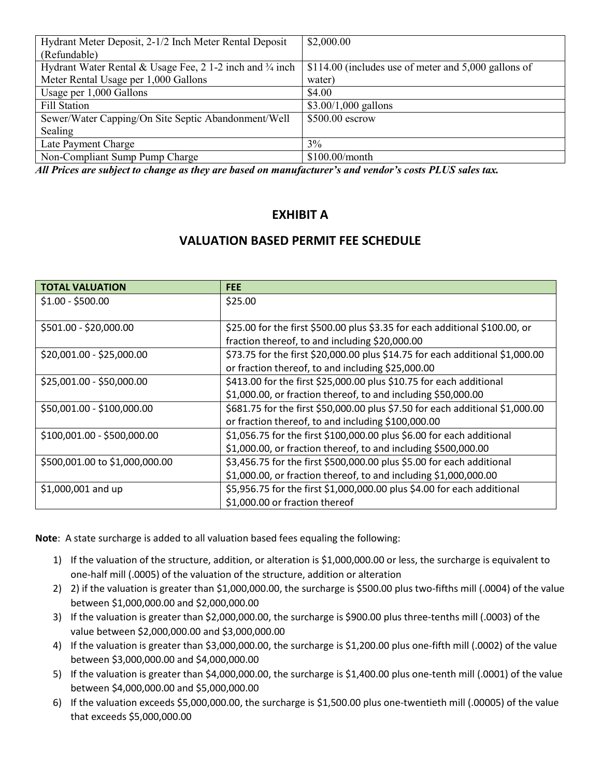| Hydrant Meter Deposit, 2-1/2 Inch Meter Rental Deposit    | \$2,000.00                                           |
|-----------------------------------------------------------|------------------------------------------------------|
| (Refundable)                                              |                                                      |
| Hydrant Water Rental & Usage Fee, 2 1-2 inch and 3/4 inch | \$114.00 (includes use of meter and 5,000 gallons of |
| Meter Rental Usage per 1,000 Gallons                      | water)                                               |
| Usage per 1,000 Gallons                                   | \$4.00                                               |
| Fill Station                                              | $$3.00/1,000$ gallons                                |
| Sewer/Water Capping/On Site Septic Abandonment/Well       | \$500.00 escrow                                      |
| Sealing                                                   |                                                      |
| Late Payment Charge                                       | 3%                                                   |
| Non-Compliant Sump Pump Charge                            | $$100.00/m$ onth                                     |

*All Prices are subject to change as they are based on manufacturer's and vendor's costs PLUS sales tax.*

#### **EXHIBIT A**

#### **VALUATION BASED PERMIT FEE SCHEDULE**

| <b>TOTAL VALUATION</b>         | <b>FEE</b>                                                                    |
|--------------------------------|-------------------------------------------------------------------------------|
| $$1.00 - $500.00$              | \$25.00                                                                       |
|                                |                                                                               |
| \$501.00 - \$20,000.00         | \$25.00 for the first \$500.00 plus \$3.35 for each additional \$100.00, or   |
|                                | fraction thereof, to and including \$20,000.00                                |
| \$20,001.00 - \$25,000.00      | \$73.75 for the first \$20,000.00 plus \$14.75 for each additional \$1,000.00 |
|                                | or fraction thereof, to and including \$25,000.00                             |
| \$25,001.00 - \$50,000.00      | \$413.00 for the first \$25,000.00 plus \$10.75 for each additional           |
|                                | \$1,000.00, or fraction thereof, to and including \$50,000.00                 |
| \$50,001.00 - \$100,000.00     | \$681.75 for the first \$50,000.00 plus \$7.50 for each additional \$1,000.00 |
|                                | or fraction thereof, to and including \$100,000.00                            |
| \$100,001.00 - \$500,000.00    | \$1,056.75 for the first \$100,000.00 plus \$6.00 for each additional         |
|                                | \$1,000.00, or fraction thereof, to and including \$500,000.00                |
| \$500,001.00 to \$1,000,000.00 | \$3,456.75 for the first \$500,000.00 plus \$5.00 for each additional         |
|                                | \$1,000.00, or fraction thereof, to and including \$1,000,000.00              |
| $$1,000,001$ and up            | \$5,956.75 for the first \$1,000,000.00 plus \$4.00 for each additional       |
|                                | \$1,000.00 or fraction thereof                                                |

**Note**: A state surcharge is added to all valuation based fees equaling the following:

- 1) If the valuation of the structure, addition, or alteration is \$1,000,000.00 or less, the surcharge is equivalent to one-half mill (.0005) of the valuation of the structure, addition or alteration
- 2) 2) if the valuation is greater than \$1,000,000.00, the surcharge is \$500.00 plus two-fifths mill (.0004) of the value between \$1,000,000.00 and \$2,000,000.00
- 3) If the valuation is greater than \$2,000,000.00, the surcharge is \$900.00 plus three-tenths mill (.0003) of the value between \$2,000,000.00 and \$3,000,000.00
- 4) If the valuation is greater than \$3,000,000.00, the surcharge is \$1,200.00 plus one-fifth mill (.0002) of the value between \$3,000,000.00 and \$4,000,000.00
- 5) If the valuation is greater than \$4,000,000.00, the surcharge is \$1,400.00 plus one-tenth mill (.0001) of the value between \$4,000,000.00 and \$5,000,000.00
- 6) If the valuation exceeds \$5,000,000.00, the surcharge is \$1,500.00 plus one-twentieth mill (.00005) of the value that exceeds \$5,000,000.00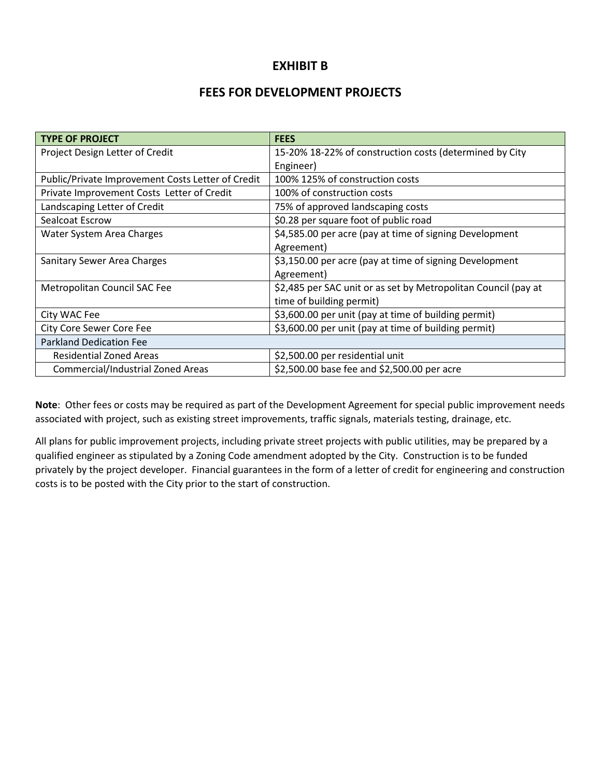#### **EXHIBIT B**

#### **FEES FOR DEVELOPMENT PROJECTS**

| <b>TYPE OF PROJECT</b>                            | <b>FEES</b>                                                    |  |  |  |  |
|---------------------------------------------------|----------------------------------------------------------------|--|--|--|--|
| Project Design Letter of Credit                   | 15-20% 18-22% of construction costs (determined by City        |  |  |  |  |
|                                                   | Engineer)                                                      |  |  |  |  |
| Public/Private Improvement Costs Letter of Credit | 100% 125% of construction costs                                |  |  |  |  |
| Private Improvement Costs Letter of Credit        | 100% of construction costs                                     |  |  |  |  |
| Landscaping Letter of Credit                      | 75% of approved landscaping costs                              |  |  |  |  |
| Sealcoat Escrow                                   | \$0.28 per square foot of public road                          |  |  |  |  |
| Water System Area Charges                         | \$4,585.00 per acre (pay at time of signing Development        |  |  |  |  |
|                                                   | Agreement)                                                     |  |  |  |  |
| Sanitary Sewer Area Charges                       | \$3,150.00 per acre (pay at time of signing Development        |  |  |  |  |
|                                                   | Agreement)                                                     |  |  |  |  |
| Metropolitan Council SAC Fee                      | \$2,485 per SAC unit or as set by Metropolitan Council (pay at |  |  |  |  |
|                                                   | time of building permit)                                       |  |  |  |  |
| City WAC Fee                                      | \$3,600.00 per unit (pay at time of building permit)           |  |  |  |  |
| <b>City Core Sewer Core Fee</b>                   | \$3,600.00 per unit (pay at time of building permit)           |  |  |  |  |
| <b>Parkland Dedication Fee</b>                    |                                                                |  |  |  |  |
| <b>Residential Zoned Areas</b>                    | \$2,500.00 per residential unit                                |  |  |  |  |
| Commercial/Industrial Zoned Areas                 | \$2,500.00 base fee and \$2,500.00 per acre                    |  |  |  |  |

**Note**: Other fees or costs may be required as part of the Development Agreement for special public improvement needs associated with project, such as existing street improvements, traffic signals, materials testing, drainage, etc.

All plans for public improvement projects, including private street projects with public utilities, may be prepared by a qualified engineer as stipulated by a Zoning Code amendment adopted by the City. Construction is to be funded privately by the project developer. Financial guarantees in the form of a letter of credit for engineering and construction costs is to be posted with the City prior to the start of construction.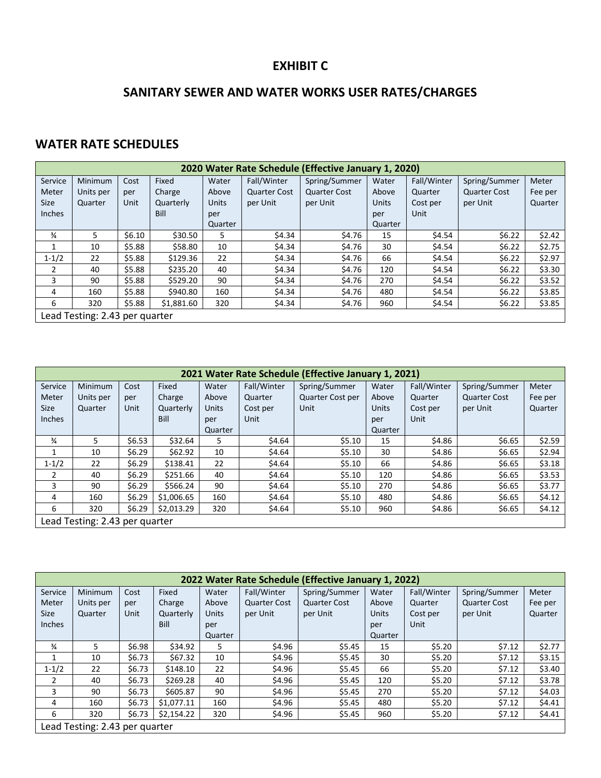# **EXHIBIT C**

# **SANITARY SEWER AND WATER WORKS USER RATES/CHARGES**

# **WATER RATE SCHEDULES**

| 2020 Water Rate Schedule (Effective January 1, 2020) |                                |        |            |              |                     |                     |              |             |                     |         |
|------------------------------------------------------|--------------------------------|--------|------------|--------------|---------------------|---------------------|--------------|-------------|---------------------|---------|
| Service                                              | Minimum                        | Cost   | Fixed      | Water        | Fall/Winter         | Spring/Summer       | Water        | Fall/Winter | Spring/Summer       | Meter   |
| Meter                                                | Units per                      | per    | Charge     | Above        | <b>Quarter Cost</b> | <b>Quarter Cost</b> | Above        | Quarter     | <b>Quarter Cost</b> | Fee per |
| Size                                                 | Quarter                        | Unit   | Quarterly  | <b>Units</b> | per Unit            | per Unit            | <b>Units</b> | Cost per    | per Unit            | Quarter |
| Inches                                               |                                |        | Bill       | per          |                     |                     | per          | Unit        |                     |         |
|                                                      |                                |        |            | Quarter      |                     |                     | Quarter      |             |                     |         |
| $\frac{3}{4}$                                        | 5.                             | \$6.10 | \$30.50    | 5            | \$4.34              | \$4.76              | 15           | \$4.54      | \$6.22              | \$2.42  |
| 1                                                    | 10                             | \$5.88 | \$58.80    | 10           | \$4.34              | \$4.76              | 30           | \$4.54      | \$6.22              | \$2.75  |
| $1 - 1/2$                                            | 22                             | \$5.88 | \$129.36   | 22           | \$4.34              | \$4.76              | 66           | \$4.54      | \$6.22              | \$2.97  |
| 2                                                    | 40                             | \$5.88 | \$235.20   | 40           | \$4.34              | \$4.76              | 120          | \$4.54      | \$6.22              | \$3.30  |
| $\overline{3}$                                       | 90                             | \$5.88 | \$529.20   | 90           | \$4.34              | \$4.76              | 270          | \$4.54      | \$6.22              | \$3.52  |
| 4                                                    | 160                            | \$5.88 | \$940.80   | 160          | \$4.34              | \$4.76              | 480          | \$4.54      | \$6.22              | \$3.85  |
| 6                                                    | 320                            | \$5.88 | \$1,881.60 | 320          | \$4.34              | \$4.76              | 960          | \$4.54      | \$6.22              | \$3.85  |
|                                                      | Lead Testing: 2.43 per quarter |        |            |              |                     |                     |              |             |                     |         |

|               | 2021 Water Rate Schedule (Effective January 1, 2021) |        |            |         |             |                  |              |             |                     |         |
|---------------|------------------------------------------------------|--------|------------|---------|-------------|------------------|--------------|-------------|---------------------|---------|
| Service       | Minimum                                              | Cost   | Fixed      | Water   | Fall/Winter | Spring/Summer    | Water        | Fall/Winter | Spring/Summer       | Meter   |
| Meter         | Units per                                            | per    | Charge     | Above   | Quarter     | Quarter Cost per | Above        | Quarter     | <b>Quarter Cost</b> | Fee per |
| <b>Size</b>   | Quarter                                              | Unit   | Quarterly  | Units   | Cost per    | Unit             | <b>Units</b> | Cost per    | per Unit            | Quarter |
| Inches        |                                                      |        | Bill       | per     | Unit        |                  | per          | Unit        |                     |         |
|               |                                                      |        |            | Quarter |             |                  | Quarter      |             |                     |         |
| $\frac{3}{4}$ | 5                                                    | \$6.53 | \$32.64    | 5       | \$4.64      | \$5.10           | 15           | \$4.86      | \$6.65              | \$2.59  |
| 1             | 10                                                   | \$6.29 | \$62.92    | 10      | \$4.64      | \$5.10           | 30           | \$4.86      | \$6.65              | \$2.94  |
| $1 - 1/2$     | 22                                                   | \$6.29 | \$138.41   | 22      | \$4.64      | \$5.10           | 66           | \$4.86      | \$6.65              | \$3.18  |
| 2             | 40                                                   | \$6.29 | \$251.66   | 40      | \$4.64      | \$5.10           | 120          | \$4.86      | \$6.65              | \$3.53  |
| 3             | 90                                                   | \$6.29 | \$566.24   | 90      | \$4.64      | \$5.10           | 270          | \$4.86      | \$6.65              | \$3.77  |
| 4             | 160                                                  | \$6.29 | \$1,006.65 | 160     | \$4.64      | \$5.10           | 480          | \$4.86      | \$6.65              | \$4.12  |
| 6             | 320                                                  | \$6.29 | \$2,013.29 | 320     | \$4.64      | \$5.10           | 960          | \$4.86      | \$6.65              | \$4.12  |
|               | Lead Testing: 2.43 per quarter                       |        |            |         |             |                  |              |             |                     |         |

|                | 2022 Water Rate Schedule (Effective January 1, 2022) |                                |            |              |                     |                     |              |             |                     |         |
|----------------|------------------------------------------------------|--------------------------------|------------|--------------|---------------------|---------------------|--------------|-------------|---------------------|---------|
| Service        | Minimum                                              | Cost                           | Fixed      | Water        | Fall/Winter         | Spring/Summer       | Water        | Fall/Winter | Spring/Summer       | Meter   |
| Meter          | Units per                                            | per                            | Charge     | Above        | <b>Quarter Cost</b> | <b>Quarter Cost</b> | Above        | Quarter     | <b>Quarter Cost</b> | Fee per |
| <b>Size</b>    | Quarter                                              | Unit                           | Quarterly  | <b>Units</b> | per Unit            | per Unit            | <b>Units</b> | Cost per    | per Unit            | Quarter |
| <b>Inches</b>  |                                                      |                                | Bill       | per          |                     |                     | per          | Unit        |                     |         |
|                |                                                      |                                |            | Quarter      |                     |                     | Quarter      |             |                     |         |
| $\frac{3}{4}$  | 5                                                    | \$6.98                         | \$34.92    | 5.           | \$4.96              | \$5.45              | 15           | \$5.20      | \$7.12              | \$2.77  |
|                | 10                                                   | \$6.73                         | \$67.32    | 10           | \$4.96              | \$5.45              | 30           | \$5.20      | \$7.12              | \$3.15  |
| $1 - 1/2$      | 22                                                   | \$6.73                         | \$148.10   | 22           | \$4.96              | \$5.45              | 66           | \$5.20      | \$7.12              | \$3.40  |
| $\overline{2}$ | 40                                                   | \$6.73                         | \$269.28   | 40           | \$4.96              | \$5.45              | 120          | \$5.20      | \$7.12              | \$3.78  |
| 3              | 90                                                   | \$6.73                         | \$605.87   | 90           | \$4.96              | \$5.45              | 270          | \$5.20      | \$7.12              | \$4.03  |
| 4              | 160                                                  | \$6.73                         | \$1,077.11 | 160          | \$4.96              | \$5.45              | 480          | \$5.20      | \$7.12              | \$4.41  |
| 6              | 320                                                  | \$6.73                         | \$2,154.22 | 320          | \$4.96              | \$5.45              | 960          | \$5.20      | \$7.12              | \$4.41  |
|                |                                                      | Lead Testing: 2.43 per quarter |            |              |                     |                     |              |             |                     |         |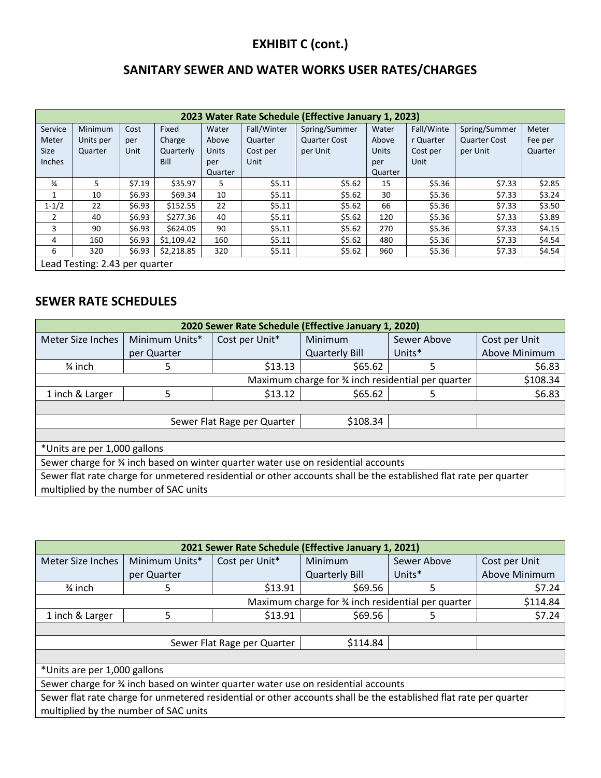# **EXHIBIT C (cont.)**

## **SANITARY SEWER AND WATER WORKS USER RATES/CHARGES**

|               | 2023 Water Rate Schedule (Effective January 1, 2023) |        |            |              |             |                     |              |            |                     |         |
|---------------|------------------------------------------------------|--------|------------|--------------|-------------|---------------------|--------------|------------|---------------------|---------|
| Service       | Minimum                                              | Cost   | Fixed      | Water        | Fall/Winter | Spring/Summer       | Water        | Fall/Winte | Spring/Summer       | Meter   |
| Meter         | Units per                                            | per    | Charge     | Above        | Quarter     | <b>Quarter Cost</b> | Above        | r Quarter  | <b>Quarter Cost</b> | Fee per |
| <b>Size</b>   | Quarter                                              | Unit   | Quarterly  | <b>Units</b> | Cost per    | per Unit            | <b>Units</b> | Cost per   | per Unit            | Quarter |
| Inches        |                                                      |        | Bill       | per          | Unit        |                     | per          | Unit       |                     |         |
|               |                                                      |        |            | Quarter      |             |                     | Quarter      |            |                     |         |
| $\frac{3}{4}$ | 5.                                                   | \$7.19 | \$35.97    | 5            | \$5.11      | \$5.62              | 15           | \$5.36     | \$7.33              | \$2.85  |
|               | 10                                                   | \$6.93 | \$69.34    | 10           | \$5.11      | \$5.62              | 30           | \$5.36     | \$7.33              | \$3.24  |
| $1 - 1/2$     | 22                                                   | \$6.93 | \$152.55   | 22           | \$5.11      | \$5.62              | 66           | \$5.36     | \$7.33              | \$3.50  |
| 2             | 40                                                   | \$6.93 | \$277.36   | 40           | \$5.11      | \$5.62              | 120          | \$5.36     | \$7.33              | \$3.89  |
| 3             | 90                                                   | \$6.93 | \$624.05   | 90           | \$5.11      | \$5.62              | 270          | \$5.36     | \$7.33              | \$4.15  |
| 4             | 160                                                  | \$6.93 | \$1,109.42 | 160          | \$5.11      | \$5.62              | 480          | \$5.36     | \$7.33              | \$4.54  |
| 6             | 320                                                  | \$6.93 | \$2,218.85 | 320          | \$5.11      | \$5.62              | 960          | \$5.36     | \$7.33              | \$4.54  |
|               | Lead Testing: 2.43 per quarter                       |        |            |              |             |                     |              |            |                     |         |

#### **SEWER RATE SCHEDULES**

| 2020 Sewer Rate Schedule (Effective January 1, 2020)                                                              |                                                                 |                |                       |             |               |  |  |
|-------------------------------------------------------------------------------------------------------------------|-----------------------------------------------------------------|----------------|-----------------------|-------------|---------------|--|--|
| Meter Size Inches                                                                                                 | Minimum Units*                                                  | Cost per Unit* | Minimum               | Sewer Above | Cost per Unit |  |  |
|                                                                                                                   | per Quarter                                                     |                | <b>Quarterly Bill</b> | Units*      | Above Minimum |  |  |
| $\frac{3}{4}$ inch                                                                                                | 5                                                               | \$13.13        | \$65.62               | 5           | \$6.83        |  |  |
|                                                                                                                   | Maximum charge for 3⁄4 inch residential per quarter<br>\$108.34 |                |                       |             |               |  |  |
| 1 inch & Larger                                                                                                   | 5                                                               | \$13.12        | \$65.62               | 5           | \$6.83        |  |  |
|                                                                                                                   |                                                                 |                |                       |             |               |  |  |
|                                                                                                                   | \$108.34<br>Sewer Flat Rage per Quarter                         |                |                       |             |               |  |  |
|                                                                                                                   |                                                                 |                |                       |             |               |  |  |
| *Units are per 1,000 gallons                                                                                      |                                                                 |                |                       |             |               |  |  |
| Sewer charge for % inch based on winter quarter water use on residential accounts                                 |                                                                 |                |                       |             |               |  |  |
| Sewer flat rate charge for unmetered residential or other accounts shall be the established flat rate per quarter |                                                                 |                |                       |             |               |  |  |
|                                                                                                                   | multiplied by the number of SAC units                           |                |                       |             |               |  |  |

| 2021 Sewer Rate Schedule (Effective January 1, 2021)                                                              |                |                |                       |             |               |  |
|-------------------------------------------------------------------------------------------------------------------|----------------|----------------|-----------------------|-------------|---------------|--|
| Meter Size Inches                                                                                                 | Minimum Units* | Cost per Unit* | Minimum               | Sewer Above | Cost per Unit |  |
|                                                                                                                   | per Quarter    |                | <b>Quarterly Bill</b> | Units*      | Above Minimum |  |
| $\frac{3}{4}$ inch                                                                                                | 5              | \$13.91        | \$69.56               | 5           | \$7.24        |  |
| Maximum charge for 3⁄4 inch residential per quarter<br>\$114.84                                                   |                |                |                       |             |               |  |
| 1 inch & Larger                                                                                                   | 5              | \$13.91        | \$69.56               | 5.          | \$7.24        |  |
|                                                                                                                   |                |                |                       |             |               |  |
| \$114.84<br>Sewer Flat Rage per Quarter                                                                           |                |                |                       |             |               |  |
|                                                                                                                   |                |                |                       |             |               |  |
| *Units are per 1,000 gallons                                                                                      |                |                |                       |             |               |  |
| Sewer charge for % inch based on winter quarter water use on residential accounts                                 |                |                |                       |             |               |  |
| Sewer flat rate charge for unmetered residential or other accounts shall be the established flat rate per quarter |                |                |                       |             |               |  |

multiplied by the number of SAC units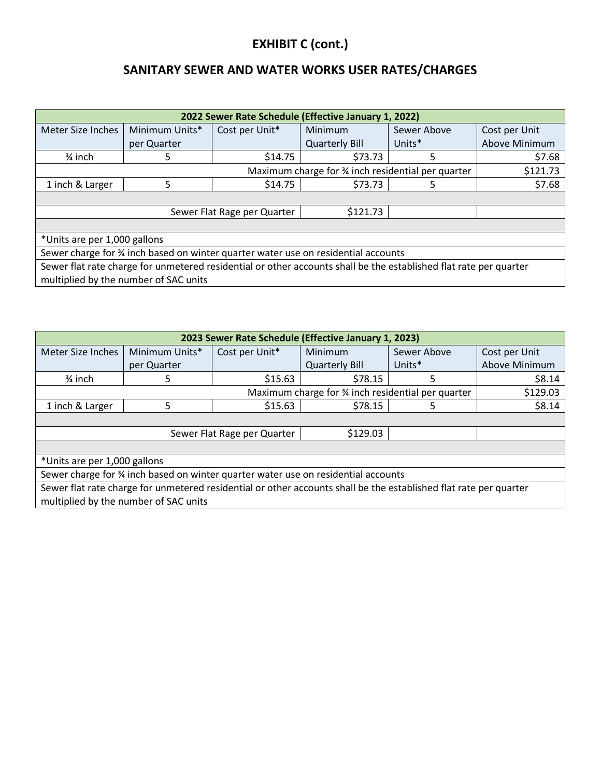# **EXHIBIT C (cont.)**

## **SANITARY SEWER AND WATER WORKS USER RATES/CHARGES**

| 2022 Sewer Rate Schedule (Effective January 1, 2022)                                                              |                                                               |                |                       |             |               |  |  |
|-------------------------------------------------------------------------------------------------------------------|---------------------------------------------------------------|----------------|-----------------------|-------------|---------------|--|--|
| Meter Size Inches                                                                                                 | Minimum Units*                                                | Cost per Unit* | Minimum               | Sewer Above | Cost per Unit |  |  |
|                                                                                                                   | per Quarter                                                   |                | <b>Quarterly Bill</b> | Units*      | Above Minimum |  |  |
| $\frac{3}{4}$ inch                                                                                                | 5                                                             | \$14.75        | \$73.73               | 5           | \$7.68        |  |  |
|                                                                                                                   | Maximum charge for % inch residential per quarter<br>\$121.73 |                |                       |             |               |  |  |
| 1 inch & Larger                                                                                                   | 5                                                             | \$14.75        | \$73.73               | 5.          | \$7.68        |  |  |
|                                                                                                                   |                                                               |                |                       |             |               |  |  |
|                                                                                                                   | \$121.73<br>Sewer Flat Rage per Quarter                       |                |                       |             |               |  |  |
|                                                                                                                   |                                                               |                |                       |             |               |  |  |
| *Units are per 1,000 gallons                                                                                      |                                                               |                |                       |             |               |  |  |
| Sewer charge for 34 inch based on winter quarter water use on residential accounts                                |                                                               |                |                       |             |               |  |  |
| Sewer flat rate charge for unmetered residential or other accounts shall be the established flat rate per quarter |                                                               |                |                       |             |               |  |  |
|                                                                                                                   | multiplied by the number of SAC units                         |                |                       |             |               |  |  |

| 2023 Sewer Rate Schedule (Effective January 1, 2023)                                                                                                       |                                         |                |                       |             |               |  |
|------------------------------------------------------------------------------------------------------------------------------------------------------------|-----------------------------------------|----------------|-----------------------|-------------|---------------|--|
| Meter Size Inches                                                                                                                                          | Minimum Units*                          | Cost per Unit* | Minimum               | Sewer Above | Cost per Unit |  |
|                                                                                                                                                            | per Quarter                             |                | <b>Quarterly Bill</b> | Units*      | Above Minimum |  |
| $\frac{3}{4}$ inch                                                                                                                                         | 5                                       | \$15.63        | \$78.15               | 5           | \$8.14        |  |
| Maximum charge for 3⁄4 inch residential per quarter<br>\$129.03                                                                                            |                                         |                |                       |             |               |  |
| 1 inch & Larger                                                                                                                                            | 5                                       | \$15.63        | \$78.15               | 5.          | \$8.14        |  |
|                                                                                                                                                            |                                         |                |                       |             |               |  |
|                                                                                                                                                            | \$129.03<br>Sewer Flat Rage per Quarter |                |                       |             |               |  |
|                                                                                                                                                            |                                         |                |                       |             |               |  |
| *Units are per 1,000 gallons                                                                                                                               |                                         |                |                       |             |               |  |
| Sewer charge for % inch based on winter quarter water use on residential accounts                                                                          |                                         |                |                       |             |               |  |
| Sewer flat rate charge for unmetered residential or other accounts shall be the established flat rate per quarter<br>multiplied by the number of SAC units |                                         |                |                       |             |               |  |